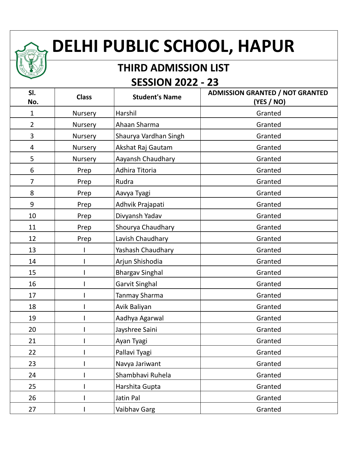## **DELHI PUBLIC SCHOOL, HAPUR**

## **THIRD ADMISSION LIST SESSION 2022 - 23**

| SI.<br>No.     | <b>Class</b> | <b>Student's Name</b>  | <b>ADMISSION GRANTED / NOT GRANTED</b><br>(YES / NO) |
|----------------|--------------|------------------------|------------------------------------------------------|
| $\mathbf{1}$   | Nursery      | Harshil                | Granted                                              |
| $\overline{2}$ | Nursery      | Ahaan Sharma           | Granted                                              |
| 3              | Nursery      | Shaurya Vardhan Singh  | Granted                                              |
| 4              | Nursery      | Akshat Raj Gautam      | Granted                                              |
| 5              | Nursery      | Aayansh Chaudhary      | Granted                                              |
| 6              | Prep         | Adhira Titoria         | Granted                                              |
| $\overline{7}$ | Prep         | Rudra                  | Granted                                              |
| 8              | Prep         | Aavya Tyagi            | Granted                                              |
| 9              | Prep         | Adhvik Prajapati       | Granted                                              |
| 10             | Prep         | Divyansh Yadav         | Granted                                              |
| 11             | Prep         | Shourya Chaudhary      | Granted                                              |
| 12             | Prep         | Lavish Chaudhary       | Granted                                              |
| 13             |              | Yashash Chaudhary      | Granted                                              |
| 14             |              | Arjun Shishodia        | Granted                                              |
| 15             |              | <b>Bhargav Singhal</b> | Granted                                              |
| 16             |              | Garvit Singhal         | Granted                                              |
| 17             |              | Tanmay Sharma          | Granted                                              |
| 18             |              | Avik Baliyan           | Granted                                              |
| 19             |              | Aadhya Agarwal         | Granted                                              |
| 20             |              | Jayshree Saini         | Granted                                              |
| 21             |              | Ayan Tyagi             | Granted                                              |
| 22             |              | Pallavi Tyagi          | Granted                                              |
| 23             |              | Navya Jariwant         | Granted                                              |
| 24             |              | Shambhavi Ruhela       | Granted                                              |
| 25             |              | Harshita Gupta         | Granted                                              |
| 26             |              | Jatin Pal              | Granted                                              |
| 27             |              | Vaibhav Garg           | Granted                                              |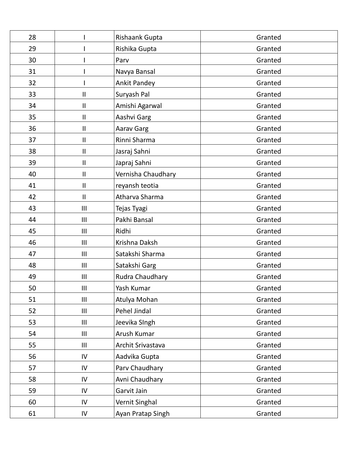| 28 |               | Rishaank Gupta     | Granted |
|----|---------------|--------------------|---------|
| 29 |               | Rishika Gupta      | Granted |
| 30 |               | Parv               | Granted |
| 31 |               | Navya Bansal       | Granted |
| 32 |               | Ankit Pandey       | Granted |
| 33 | Ш             | Suryash Pal        | Granted |
| 34 | Ш             | Amishi Agarwal     | Granted |
| 35 | $\mathbf{II}$ | Aashvi Garg        | Granted |
| 36 | Ш             | <b>Aarav Garg</b>  | Granted |
| 37 | $\mathbf{II}$ | Rinni Sharma       | Granted |
| 38 | $\mathbf{II}$ | Jasraj Sahni       | Granted |
| 39 | Ш             | Japraj Sahni       | Granted |
| 40 | $\mathbf{I}$  | Vernisha Chaudhary | Granted |
| 41 | $\mathbf{I}$  | reyansh teotia     | Granted |
| 42 | Ш             | Atharva Sharma     | Granted |
| 43 | III           | Tejas Tyagi        | Granted |
| 44 | III           | Pakhi Bansal       | Granted |
| 45 | III           | Ridhi              | Granted |
| 46 | III           | Krishna Daksh      | Granted |
| 47 | III           | Satakshi Sharma    | Granted |
| 48 | III           | Satakshi Garg      | Granted |
| 49 | III           | Rudra Chaudhary    | Granted |
| 50 | Ш             | Yash Kumar         | Granted |
| 51 | III           | Atulya Mohan       | Granted |
| 52 | III           | Pehel Jindal       | Granted |
| 53 | III           | Jeevika SIngh      | Granted |
| 54 | III           | Arush Kumar        | Granted |
| 55 | III           | Archit Srivastava  | Granted |
| 56 | IV            | Aadvika Gupta      | Granted |
| 57 | IV            | Parv Chaudhary     | Granted |
| 58 | IV            | Avni Chaudhary     | Granted |
| 59 | IV            | Garvit Jain        | Granted |
| 60 | IV            | Vernit Singhal     | Granted |
| 61 | ${\sf IV}$    | Ayan Pratap Singh  | Granted |